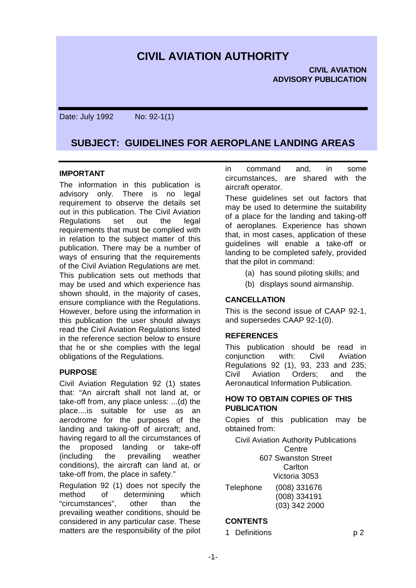# **CIVIL AVIATION AUTHORITY**

Date: July 1992 No: 92-1(1)

# **SUBJECT: GUIDELINES FOR AEROPLANE LANDING AREAS**

#### **IMPORTANT**

The information in this publication is advisory only. There is no legal requirement to observe the details set out in this publication. The Civil Aviation Regulations set out the legal requirements that must be complied with in relation to the subject matter of this publication. There may be a number of ways of ensuring that the requirements of the Civil Aviation Regulations are met. This publication sets out methods that may be used and which experience has shown should, in the majority of cases, ensure compliance with the Regulations. However, before using the information in this publication the user should always read the Civil Aviation Regulations listed in the reference section below to ensure that he or she complies with the legal obligations of the Regulations.

#### **PURPOSE**

Civil Aviation Regulation 92 (1) states that: "An aircraft shall not land at, or take-off from, any place unless: ...(d) the place....is suitable for use as an aerodrome for the purposes of the landing and taking-off of aircraft; and, having regard to all the circumstances of the proposed landing or take-off (including the prevailing weather conditions), the aircraft can land at, or take-off from, the place in safety."

Regulation 92 (1) does not specify the method of determining which "circumstances", other than the prevailing weather conditions, should be considered in any particular case. These matters are the responsibility of the pilot in command and, in some circumstances, are shared with the aircraft operator.

These guidelines set out factors that may be used to determine the suitability of a place for the landing and taking-off of aeroplanes. Experience has shown that, in most cases, application of these guidelines will enable a take-off or landing to be completed safely, provided that the pilot in command:

- (a) has sound piloting skills; and
- (b) displays sound airmanship.

# **CANCELLATION**

This is the second issue of CAAP 92-1, and supersedes CAAP 92-1(0).

#### **REFERENCES**

This publication should be read in conjunction with: Civil Aviation Regulations 92 (1), 93, 233 and 235; Civil Aviation Orders; and the Aeronautical Information Publication.

#### **HOW TO OBTAIN COPIES OF THIS PUBLICATION**

Copies of this publication may be obtained from:

Civil Aviation Authority Publications Centre 607 Swanston Street **Carlton** 

Victoria 3053 Telephone (008) 331676 (008) 334191 (03) 342 2000

# **CONTENTS**

1 Definitions p 2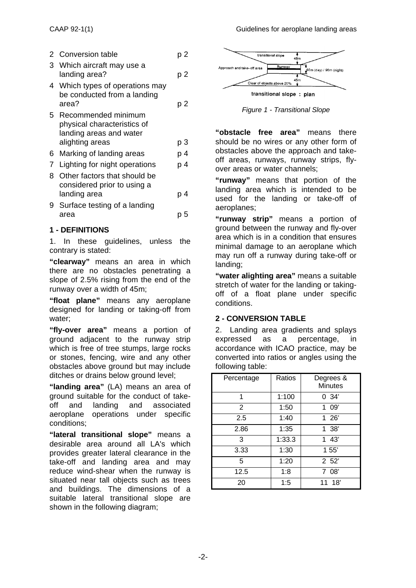|    | 2 Conversion table                                                            | p 2 |
|----|-------------------------------------------------------------------------------|-----|
| 3  | Which aircraft may use a<br>landing area?                                     | p 2 |
|    | 4 Which types of operations may<br>be conducted from a landing                |     |
|    | area?                                                                         | p 2 |
| 5. | Recommended minimum<br>physical characteristics of<br>landing areas and water |     |
|    | alighting areas                                                               | р3  |
| 6. | Marking of landing areas                                                      | p 4 |
| 7  | Lighting for night operations                                                 | p 4 |
| 8  | Other factors that should be<br>considered prior to using a                   |     |
|    | landing area                                                                  | p 4 |
| 9  | Surface testing of a landing                                                  |     |
|    | area                                                                          | p 5 |

#### **1 - DEFINITIONS**

1. In these guidelines, unless the contrary is stated:

**"clearway"** means an area in which there are no obstacles penetrating a slope of 2.5% rising from the end of the runway over a width of 45m;

**"float plane"** means any aeroplane designed for landing or taking-off from water;

**"fly-over area"** means a portion of ground adjacent to the runway strip which is free of tree stumps, large rocks or stones, fencing, wire and any other obstacles above ground but may include ditches or drains below ground level;

**"landing area"** (LA) means an area of ground suitable for the conduct of takeoff and landing and associated aeroplane operations under specific conditions;

**"lateral transitional slope"** means a desirable area around all LA's which provides greater lateral clearance in the take-off and landing area and may reduce wind-shear when the runway is situated near tall objects such as trees and buildings. The dimensions of a suitable lateral transitional slope are shown in the following diagram;



*Figure 1 - Transitional Slope*

**"obstacle free area"** means there should be no wires or any other form of obstacles above the approach and takeoff areas, runways, runway strips, flyover areas or water channels;

**"runway"** means that portion of the landing area which is intended to be used for the landing or take-off of aeroplanes;

**"runway strip"** means a portion of ground between the runway and fly-over area which is in a condition that ensures minimal damage to an aeroplane which may run off a runway during take-off or landing;

**"water alighting area"** means a suitable stretch of water for the landing or takingoff of a float plane under specific conditions.

#### **2 - CONVERSION TABLE**

2. Landing area gradients and splays expressed as a percentage, accordance with ICAO practice, may be converted into ratios or angles using the following table:

| Percentage     | Ratios | Degrees &<br><b>Minutes</b> |
|----------------|--------|-----------------------------|
| 1              | 1:100  | 0.34'                       |
| $\overline{2}$ | 1:50   | 109'                        |
| 2.5            | 1:40   | 126'                        |
| 2.86           | 1:35   | 1.38'                       |
| 3              | 1:33.3 | 143'                        |
| 3.33           | 1:30   | 155'                        |
| 5              | 1:20   | 252'                        |
| 12.5           | 1:8    | 7 08'                       |
| 20             | 1:5    | 18'<br>11                   |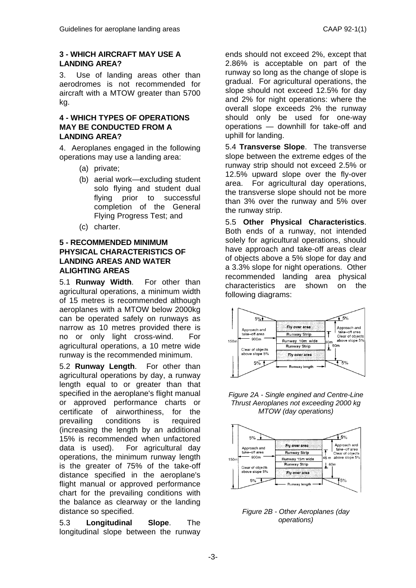# **3 - WHICH AIRCRAFT MAY USE A LANDING AREA?**

3. Use of landing areas other than aerodromes is not recommended for aircraft with a MTOW greater than 5700 kg.

#### **4 - WHICH TYPES OF OPERATIONS MAY BE CONDUCTED FROM A LANDING AREA?**

4. Aeroplanes engaged in the following operations may use a landing area:

- (a) private;
- (b) aerial work—excluding student solo flying and student dual flying prior to successful completion of the General Flying Progress Test; and
- (c) charter.

# **5 - RECOMMENDED MINIMUM PHYSICAL CHARACTERISTICS OF LANDING AREAS AND WATER ALIGHTING AREAS**

5.1 **Runway Width**. For other than agricultural operations, a minimum width of 15 metres is recommended although aeroplanes with a MTOW below 2000kg can be operated safely on runways as narrow as 10 metres provided there is no or only light cross-wind. For agricultural operations, a 10 metre wide runway is the recommended minimum.

5.2 **Runway Length**. For other than agricultural operations by day, a runway length equal to or greater than that specified in the aeroplane's flight manual or approved performance charts or certificate of airworthiness, for the prevailing conditions is required (increasing the length by an additional 15% is recommended when unfactored data is used). For agricultural day operations, the minimum runway length is the greater of 75% of the take-off distance specified in the aeroplane's flight manual or approved performance chart for the prevailing conditions with the balance as clearway or the landing distance so specified.

5.3 **Longitudinal Slope**. The longitudinal slope between the runway

ends should not exceed 2%, except that 2.86% is acceptable on part of the runway so long as the change of slope is gradual. For agricultural operations, the slope should not exceed 12.5% for day and 2% for night operations: where the overall slope exceeds 2% the runway should only be used for one-way operations — downhill for take-off and uphill for landing.

5.4 **Transverse Slope**. The transverse slope between the extreme edges of the runway strip should not exceed 2.5% or 12.5% upward slope over the fly-over area. For agricultural day operations, the transverse slope should not be more than 3% over the runway and 5% over the runway strip.

5.5 **Other Physical Characteristics**. Both ends of a runway, not intended solely for agricultural operations, should have approach and take-off areas clear of objects above a 5% slope for day and a 3.3% slope for night operations. Other recommended landing area physical characteristics are shown on the following diagrams:



*Figure 2A - Single engined and Centre-Line Thrust Aeroplanes not exceeding 2000 kg MTOW (day operations)*



*Figure 2B - Other Aeroplanes (day operations)*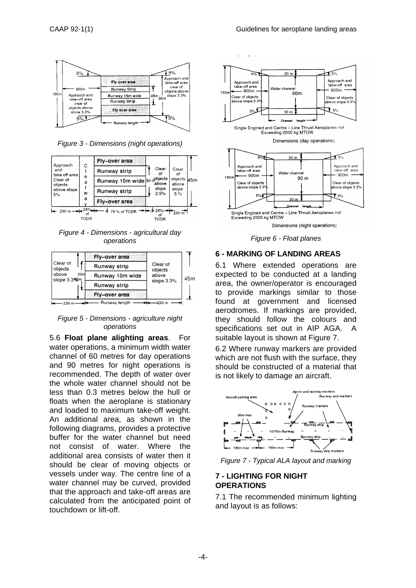

*Figure 3 - Dimensions (night operations)*



*Figure 4 - Dimensions - agricultural day operations*



*Figure 5 - Dimensions - agriculture night operations*

5.6 **Float plane alighting areas**. For water operations, a minimum width water channel of 60 metres for day operations and 90 metres for night operations is recommended. The depth of water over the whole water channel should not be less than 0.3 metres below the hull or floats when the aeroplane is stationary and loaded to maximum take-off weight. An additional area, as shown in the following diagrams, provides a protective buffer for the water channel but need not consist of water. Where the additional area consists of water then it should be clear of moving objects or vessels under way. The centre line of a water channel may be curved, provided that the approach and take-off areas are calculated from the anticipated point of touchdown or lift-off.



*Figure 6 - Float planes*

#### **6 - MARKING OF LANDING AREAS**

6.1 Where extended operations are expected to be conducted at a landing area, the owner/operator is encouraged to provide markings similar to those found at government and licensed aerodromes. If markings are provided, they should follow the colours and specifications set out in AIP AGA. A suitable layout is shown at Figure 7.

6.2 Where runway markers are provided which are not flush with the surface, they should be constructed of a material that is not likely to damage an aircraft.



*Figure 7 - Typical ALA layout and marking*

# **7 - LIGHTING FOR NIGHT OPERATIONS**

7.1 The recommended minimum lighting and layout is as follows: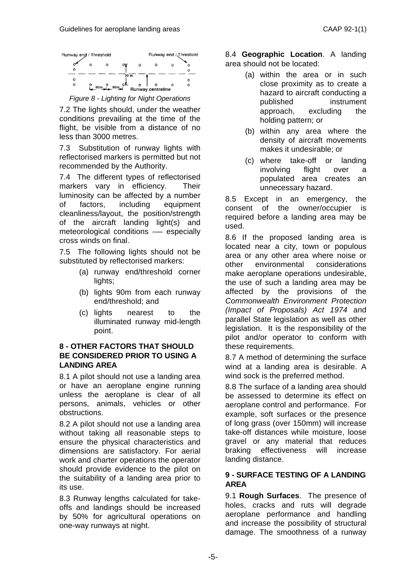

*Figure 8 - Lighting for Night Operations*

7.2 The lights should, under the weather conditions prevailing at the time of the flight, be visible from a distance of no less than 3000 metres.

7.3 Substitution of runway lights with reflectorised markers is permitted but not recommended by the Authority.

7.4 The different types of reflectorised markers vary in efficiency. Their luminosity can be affected by a number of factors, including equipment cleanliness/layout, the position/strength of the aircraft landing light(s) and meteorological conditions -— especially cross winds on final.

7.5 The following lights should not be substituted by reflectorised markers:

- (a) runway end/threshold corner lights;
- (b) lights 90m from each runway end/threshold; and
- (c) lights nearest to the illuminated runway mid-length point.

#### **8 - OTHER FACTORS THAT SHOULD BE CONSIDERED PRIOR TO USING A LANDING AREA**

8.1 A pilot should not use a landing area or have an aeroplane engine running unless the aeroplane is clear of all persons, animals, vehicles or other obstructions.

8.2 A pilot should not use a landing area without taking all reasonable steps to ensure the physical characteristics and dimensions are satisfactory. For aerial work and charter operations the operator should provide evidence to the pilot on the suitability of a landing area prior to its use.

8.3 Runway lengths calculated for takeoffs and landings should be increased by 50% for agricultural operations on one-way runways at night.

8.4 **Geographic Location**. A landing area should not be located:

- (a) within the area or in such close proximity as to create a hazard to aircraft conducting a published instrument approach, excluding the holding pattern; or
- (b) within any area where the density of aircraft movements makes it undesirable; or
- (c) where take-off or landing involving flight over a populated area creates an unnecessary hazard.

8.5 Except in an emergency, the consent of the owner/occupier is required before a landing area may be used.

8.6 If the proposed landing area is located near a city, town or populous area or any other area where noise or other environmental considerations make aeroplane operations undesirable, the use of such a landing area may be affected by the provisions of the *Commonwealth Environment Protection (Impact of Proposals) Act 1974* and parallel State legislation as well as other legislation. It is the responsibility of the pilot and/or operator to conform with these requirements.

8.7 A method of determining the surface wind at a landing area is desirable. A wind sock is the preferred method.

8.8 The surface of a landing area should be assessed to determine its effect on aeroplane control and performance. For example, soft surfaces or the presence of long grass (over 150mm) will increase take-off distances while moisture, loose gravel or any material that reduces braking effectiveness will increase landing distance.

# **9 - SURFACE TESTING OF A LANDING AREA**

9.1 **Rough Surfaces**. The presence of holes, cracks and ruts will degrade aeroplane performance and handling and increase the possibility of structural damage. The smoothness of a runway